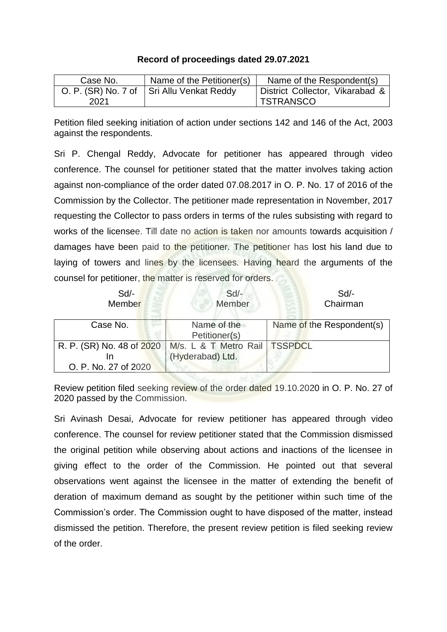## **Record of proceedings dated 29.07.2021**

| Case No. | Name of the Petitioner(s)                 | Name of the Respondent(s)       |
|----------|-------------------------------------------|---------------------------------|
|          | O. P. (SR) No. 7 of Sri Allu Venkat Reddy | District Collector, Vikarabad & |
| 2021     |                                           | <b>TSTRANSCO</b>                |

Petition filed seeking initiation of action under sections 142 and 146 of the Act, 2003 against the respondents.

Sri P. Chengal Reddy, Advocate for petitioner has appeared through video conference. The counsel for petitioner stated that the matter involves taking action against non-compliance of the order dated 07.08.2017 in O. P. No. 17 of 2016 of the Commission by the Collector. The petitioner made representation in November, 2017 requesting the Collector to pass orders in terms of the rules subsisting with regard to works of the licensee. Till date no action is taken nor amounts towards acquisition / damages have been paid to the petitioner. The petitioner has lost his land due to laying of towers and lines by the licensees. Having heard the arguments of the counsel for petitioner, the matter is reserved for orders.

| Sd<br>Member                                      | $Sd$ -<br>Member                          | Sd<br>Chairman            |
|---------------------------------------------------|-------------------------------------------|---------------------------|
| Case No.                                          | Name of the<br>Petitioner(s)              | Name of the Respondent(s) |
| R. P. (SR) No. 48 of 2020<br>O. P. No. 27 of 2020 | M/s. L & T Metro Rail<br>(Hyderabad) Ltd. | <b>TSSPDCL</b>            |

Review petition filed seeking review of the order dated 19.10.2020 in O. P. No. 27 of 2020 passed by the Commission.

Sri Avinash Desai, Advocate for review petitioner has appeared through video conference. The counsel for review petitioner stated that the Commission dismissed the original petition while observing about actions and inactions of the licensee in giving effect to the order of the Commission. He pointed out that several observations went against the licensee in the matter of extending the benefit of deration of maximum demand as sought by the petitioner within such time of the Commission's order. The Commission ought to have disposed of the matter, instead dismissed the petition. Therefore, the present review petition is filed seeking review of the order.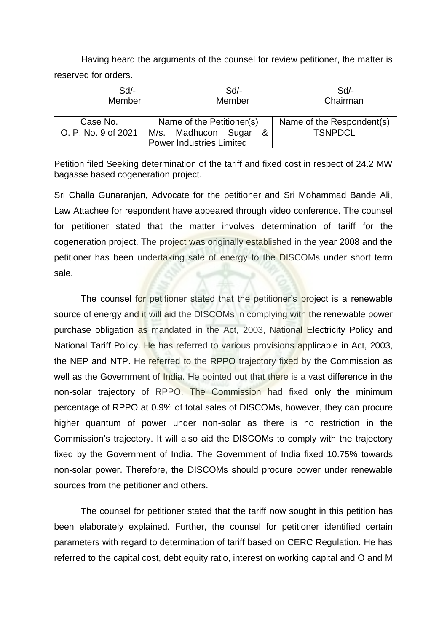Having heard the arguments of the counsel for review petitioner, the matter is reserved for orders.

| Sd<br>Member        | $Sd$ -<br>Member                | Sd<br>Chairman            |  |
|---------------------|---------------------------------|---------------------------|--|
| Case No.            | Name of the Petitioner(s)       | Name of the Respondent(s) |  |
| O. P. No. 9 of 2021 | M/s. Madhucon Sugar<br>&        | <b>TSNPDCL</b>            |  |
|                     | <b>Power Industries Limited</b> |                           |  |

Petition filed Seeking determination of the tariff and fixed cost in respect of 24.2 MW bagasse based cogeneration project.

Sri Challa Gunaranjan, Advocate for the petitioner and Sri Mohammad Bande Ali, Law Attachee for respondent have appeared through video conference. The counsel for petitioner stated that the matter involves determination of tariff for the cogeneration project. The project was originally established in the year 2008 and the petitioner has been undertaking sale of energy to the DISCOMs under short term sale.

The counsel for petitioner stated that the petitioner's project is a renewable source of energy and it will aid the DISCOMs in complying with the renewable power purchase obligation as mandated in the Act, 2003, National Electricity Policy and National Tariff Policy. He has referred to various provisions applicable in Act, 2003, the NEP and NTP. He referred to the RPPO trajectory fixed by the Commission as well as the Government of India. He pointed out that there is a vast difference in the non-solar trajectory of RPPO. The Commission had fixed only the minimum percentage of RPPO at 0.9% of total sales of DISCOMs, however, they can procure higher quantum of power under non-solar as there is no restriction in the Commission's trajectory. It will also aid the DISCOMs to comply with the trajectory fixed by the Government of India. The Government of India fixed 10.75% towards non-solar power. Therefore, the DISCOMs should procure power under renewable sources from the petitioner and others.

The counsel for petitioner stated that the tariff now sought in this petition has been elaborately explained. Further, the counsel for petitioner identified certain parameters with regard to determination of tariff based on CERC Regulation. He has referred to the capital cost, debt equity ratio, interest on working capital and O and M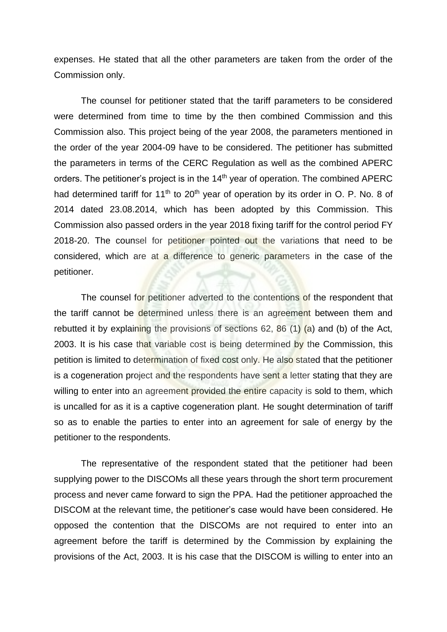expenses. He stated that all the other parameters are taken from the order of the Commission only.

The counsel for petitioner stated that the tariff parameters to be considered were determined from time to time by the then combined Commission and this Commission also. This project being of the year 2008, the parameters mentioned in the order of the year 2004-09 have to be considered. The petitioner has submitted the parameters in terms of the CERC Regulation as well as the combined APERC orders. The petitioner's project is in the 14<sup>th</sup> year of operation. The combined APERC had determined tariff for 11<sup>th</sup> to 20<sup>th</sup> year of operation by its order in O. P. No. 8 of 2014 dated 23.08.2014, which has been adopted by this Commission. This Commission also passed orders in the year 2018 fixing tariff for the control period FY 2018-20. The counsel for petitioner pointed out the variations that need to be considered, which are at a difference to generic parameters in the case of the petitioner.

The counsel for petitioner adverted to the contentions of the respondent that the tariff cannot be determined unless there is an agreement between them and rebutted it by explaining the provisions of sections 62, 86  $(1)$  (a) and (b) of the Act, 2003. It is his case that variable cost is being determined by the Commission, this petition is limited to determination of fixed cost only. He also stated that the petitioner is a cogeneration project and the respondents have sent a letter stating that they are willing to enter into an agreement provided the entire capacity is sold to them, which is uncalled for as it is a captive cogeneration plant. He sought determination of tariff so as to enable the parties to enter into an agreement for sale of energy by the petitioner to the respondents.

The representative of the respondent stated that the petitioner had been supplying power to the DISCOMs all these years through the short term procurement process and never came forward to sign the PPA. Had the petitioner approached the DISCOM at the relevant time, the petitioner's case would have been considered. He opposed the contention that the DISCOMs are not required to enter into an agreement before the tariff is determined by the Commission by explaining the provisions of the Act, 2003. It is his case that the DISCOM is willing to enter into an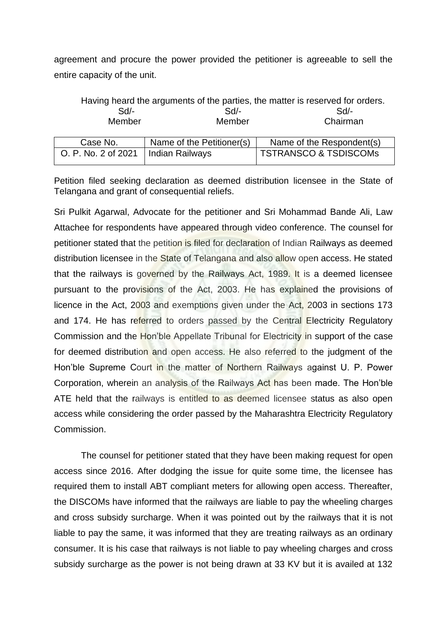agreement and procure the power provided the petitioner is agreeable to sell the entire capacity of the unit.

| Having heard the arguments of the parties, the matter is reserved for orders. |                           |                                  |  |  |  |
|-------------------------------------------------------------------------------|---------------------------|----------------------------------|--|--|--|
| Sd                                                                            | $Sd$ -                    | $Sd$ -                           |  |  |  |
| Member                                                                        | Member                    | Chairman                         |  |  |  |
|                                                                               |                           |                                  |  |  |  |
| Case No.                                                                      | Name of the Petitioner(s) | Name of the Respondent(s)        |  |  |  |
| O. P. No. 2 of 2021                                                           | <b>Indian Railways</b>    | <b>TSTRANSCO &amp; TSDISCOMs</b> |  |  |  |

Petition filed seeking declaration as deemed distribution licensee in the State of Telangana and grant of consequential reliefs.

Sri Pulkit Agarwal, Advocate for the petitioner and Sri Mohammad Bande Ali, Law Attachee for respondents have appeared through video conference. The counsel for petitioner stated that the petition is filed for declaration of Indian Railways as deemed distribution licensee in the State of Telangana and also allow open access. He stated that the railways is governed by the Railways Act, 1989. It is a deemed licensee pursuant to the provisions of the Act, 2003. He has explained the provisions of licence in the Act, 2003 and exemptions given under the Act, 2003 in sections 173 and 174. He has referred to orders passed by the Central Electricity Regulatory Commission and the Hon'ble Appellate Tribunal for Electricity in support of the case for deemed distribution and open access. He also referred to the judgment of the Hon'ble Supreme Court in the matter of Northern Railways against U. P. Power Corporation, wherein an analysis of the Railways Act has been made. The Hon'ble ATE held that the railways is entitled to as deemed licensee status as also open access while considering the order passed by the Maharashtra Electricity Regulatory Commission.

The counsel for petitioner stated that they have been making request for open access since 2016. After dodging the issue for quite some time, the licensee has required them to install ABT compliant meters for allowing open access. Thereafter, the DISCOMs have informed that the railways are liable to pay the wheeling charges and cross subsidy surcharge. When it was pointed out by the railways that it is not liable to pay the same, it was informed that they are treating railways as an ordinary consumer. It is his case that railways is not liable to pay wheeling charges and cross subsidy surcharge as the power is not being drawn at 33 KV but it is availed at 132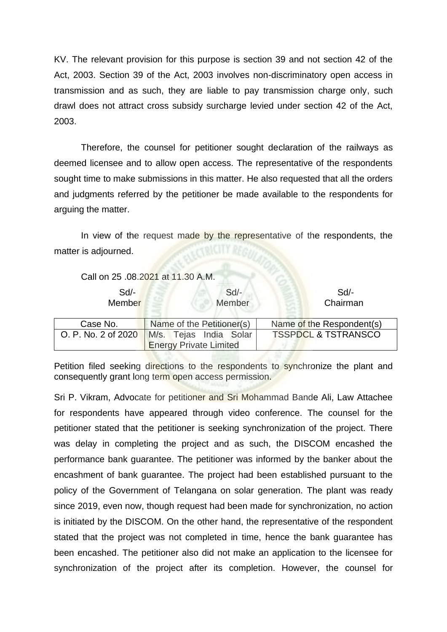KV. The relevant provision for this purpose is section 39 and not section 42 of the Act, 2003. Section 39 of the Act, 2003 involves non-discriminatory open access in transmission and as such, they are liable to pay transmission charge only, such drawl does not attract cross subsidy surcharge levied under section 42 of the Act, 2003.

Therefore, the counsel for petitioner sought declaration of the railways as deemed licensee and to allow open access. The representative of the respondents sought time to make submissions in this matter. He also requested that all the orders and judgments referred by the petitioner be made available to the respondents for arguing the matter.

In view of the request made by the representative of the respondents, the matter is adjourned.

|                     | Call on 25 .08.2021 at 11.30 A.M.                       |                                |
|---------------------|---------------------------------------------------------|--------------------------------|
| $Sd$ -<br>Member    | $Sd$ -<br>Member                                        | $Sd$ -<br>Chairman             |
| Case No.            | Name of the Petitioner(s)                               | Name of the Respondent(s)      |
| O. P. No. 2 of 2020 | M/s. Tejas India Solar<br><b>Energy Private Limited</b> | <b>TSSPDCL &amp; TSTRANSCO</b> |

Petition filed seeking directions to the respondents to synchronize the plant and consequently grant long term open access permission.

Sri P. Vikram, Advocate for petitioner and Sri Mohammad Bande Ali, Law Attachee for respondents have appeared through video conference. The counsel for the petitioner stated that the petitioner is seeking synchronization of the project. There was delay in completing the project and as such, the DISCOM encashed the performance bank guarantee. The petitioner was informed by the banker about the encashment of bank guarantee. The project had been established pursuant to the policy of the Government of Telangana on solar generation. The plant was ready since 2019, even now, though request had been made for synchronization, no action is initiated by the DISCOM. On the other hand, the representative of the respondent stated that the project was not completed in time, hence the bank guarantee has been encashed. The petitioner also did not make an application to the licensee for synchronization of the project after its completion. However, the counsel for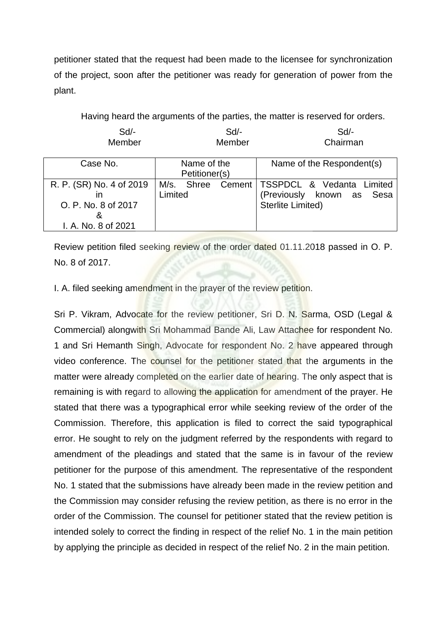petitioner stated that the request had been made to the licensee for synchronization of the project, soon after the petitioner was ready for generation of power from the plant.

Having heard the arguments of the parties, the matter is reserved for orders.

| Sd<br>Member                                                                | Sd<br>Member                    | $Sd$ -<br>Chairman                                                                    |
|-----------------------------------------------------------------------------|---------------------------------|---------------------------------------------------------------------------------------|
| Case No.                                                                    | Name of the<br>Petitioner(s)    | Name of the Respondent(s)                                                             |
| R. P. (SR) No. 4 of 2019<br>O. P. No. 8 of 2017<br>8<br>I. A. No. 8 of 2021 | M/s. Shree<br>Cement<br>Limited | TSSPDCL & Vedanta Limited<br>Sesa<br>(Previously known as<br><b>Sterlite Limited)</b> |

Review petition filed seeking review of the order dated 01.11.2018 passed in O. P. No. 8 of 2017.

I. A. filed seeking amendment in the prayer of the review petition.

Sri P. Vikram, Advocate for the review petitioner, Sri D. N. Sarma, OSD (Legal & Commercial) alongwith Sri Mohammad Bande Ali, Law Attachee for respondent No. 1 and Sri Hemanth Singh, Advocate for respondent No. 2 have appeared through video conference. The counsel for the petitioner stated that the arguments in the matter were already completed on the earlier date of hearing. The only aspect that is remaining is with regard to allowing the application for amendment of the prayer. He stated that there was a typographical error while seeking review of the order of the Commission. Therefore, this application is filed to correct the said typographical error. He sought to rely on the judgment referred by the respondents with regard to amendment of the pleadings and stated that the same is in favour of the review petitioner for the purpose of this amendment. The representative of the respondent No. 1 stated that the submissions have already been made in the review petition and the Commission may consider refusing the review petition, as there is no error in the order of the Commission. The counsel for petitioner stated that the review petition is intended solely to correct the finding in respect of the relief No. 1 in the main petition by applying the principle as decided in respect of the relief No. 2 in the main petition.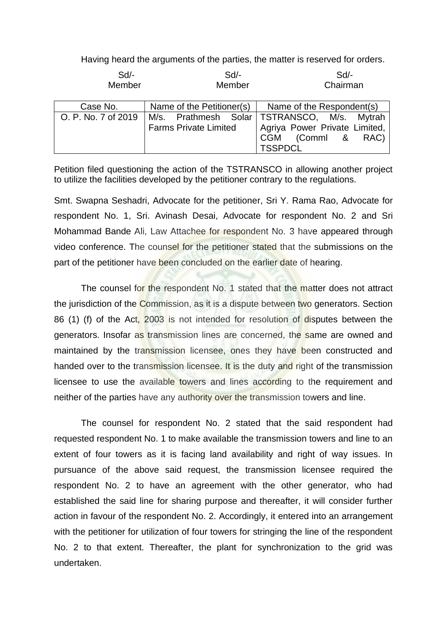Having heard the arguments of the parties, the matter is reserved for orders.

| $Sd$ -<br>Member    | Sd<br>Member                 | Sd<br>Chairman                              |
|---------------------|------------------------------|---------------------------------------------|
| Case No.            | Name of the Petitioner(s)    | Name of the Respondent(s)                   |
| O. P. No. 7 of 2019 |                              | M/s. Prathmesh Solar TSTRANSCO, M/s. Mytrah |
|                     | <b>Farms Private Limited</b> | Agriya Power Private Limited,               |
|                     |                              | CGM (Comml & RAC)                           |
|                     |                              | <b>TSSPDCL</b>                              |

Petition filed questioning the action of the TSTRANSCO in allowing another project to utilize the facilities developed by the petitioner contrary to the regulations.

Smt. Swapna Seshadri, Advocate for the petitioner, Sri Y. Rama Rao, Advocate for respondent No. 1, Sri. Avinash Desai, Advocate for respondent No. 2 and Sri Mohammad Bande Ali, Law Attachee for respondent No. 3 have appeared through video conference. The counsel for the petitioner stated that the submissions on the part of the petitioner have been concluded on the earlier date of hearing.

The counsel for the respondent No. 1 stated that the matter does not attract the jurisdiction of the Commission, as it is a dispute between two generators. Section 86 (1) (f) of the Act, 2003 is not intended for resolution of disputes between the generators. Insofar as transmission lines are concerned, the same are owned and maintained by the transmission licensee, ones they have been constructed and handed over to the transmission licensee. It is the duty and right of the transmission licensee to use the available towers and lines according to the requirement and neither of the parties have any authority over the transmission towers and line.

The counsel for respondent No. 2 stated that the said respondent had requested respondent No. 1 to make available the transmission towers and line to an extent of four towers as it is facing land availability and right of way issues. In pursuance of the above said request, the transmission licensee required the respondent No. 2 to have an agreement with the other generator, who had established the said line for sharing purpose and thereafter, it will consider further action in favour of the respondent No. 2. Accordingly, it entered into an arrangement with the petitioner for utilization of four towers for stringing the line of the respondent No. 2 to that extent. Thereafter, the plant for synchronization to the grid was undertaken.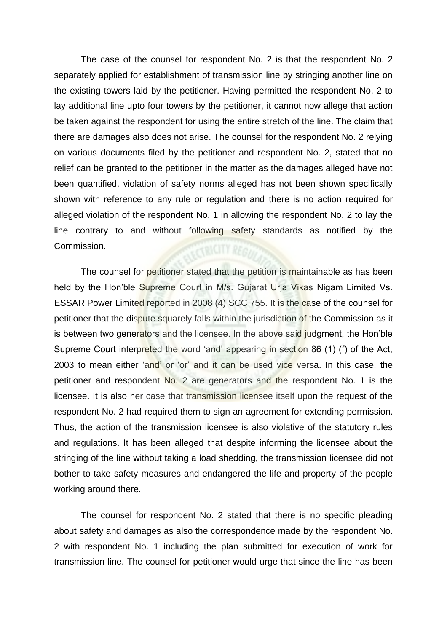The case of the counsel for respondent No. 2 is that the respondent No. 2 separately applied for establishment of transmission line by stringing another line on the existing towers laid by the petitioner. Having permitted the respondent No. 2 to lay additional line upto four towers by the petitioner, it cannot now allege that action be taken against the respondent for using the entire stretch of the line. The claim that there are damages also does not arise. The counsel for the respondent No. 2 relying on various documents filed by the petitioner and respondent No. 2, stated that no relief can be granted to the petitioner in the matter as the damages alleged have not been quantified, violation of safety norms alleged has not been shown specifically shown with reference to any rule or regulation and there is no action required for alleged violation of the respondent No. 1 in allowing the respondent No. 2 to lay the line contrary to and without following safety standards as notified by the Commission.

The counsel for petitioner stated that the petition is maintainable as has been held by the Hon'ble Supreme Court in M/s. Gujarat Urja Vikas Nigam Limited Vs. ESSAR Power Limited reported in 2008 (4) SCC 755. It is the case of the counsel for petitioner that the dispute squarely falls within the jurisdiction of the Commission as it is between two generators and the licensee. In the above said judgment, the Hon'ble Supreme Court interpreted the word 'and' appearing in section 86 (1) (f) of the Act, 2003 to mean either 'and' or 'or' and it can be used vice versa. In this case, the petitioner and respondent No. 2 are generators and the respondent No. 1 is the licensee. It is also her case that transmission licensee itself upon the request of the respondent No. 2 had required them to sign an agreement for extending permission. Thus, the action of the transmission licensee is also violative of the statutory rules and regulations. It has been alleged that despite informing the licensee about the stringing of the line without taking a load shedding, the transmission licensee did not bother to take safety measures and endangered the life and property of the people working around there.

The counsel for respondent No. 2 stated that there is no specific pleading about safety and damages as also the correspondence made by the respondent No. 2 with respondent No. 1 including the plan submitted for execution of work for transmission line. The counsel for petitioner would urge that since the line has been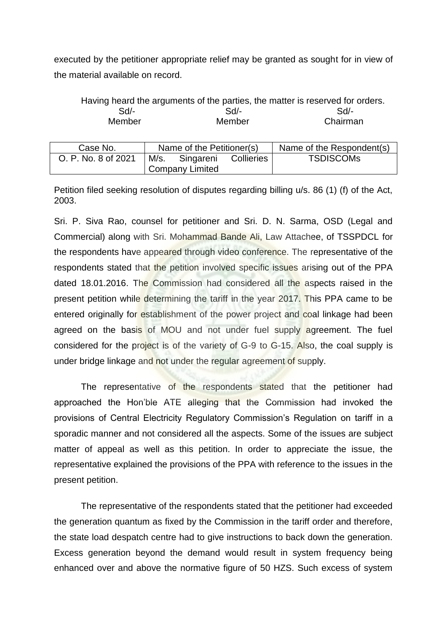executed by the petitioner appropriate relief may be granted as sought for in view of the material available on record.

|               | Having heard the arguments of the parties, the matter is reserved for orders. |          |
|---------------|-------------------------------------------------------------------------------|----------|
| Sd/-          | $Sd/-$                                                                        | $Sd$ -   |
| <b>Member</b> | Member                                                                        | Chairman |

| Case No.            | Name of the Petitioner(s) |           |            | Name of the Respondent(s) |
|---------------------|---------------------------|-----------|------------|---------------------------|
| O. P. No. 8 of 2021 | M/s.                      | Singareni | Collieries | <b>TSDISCOMS</b>          |
|                     | Company Limited           |           |            |                           |

Petition filed seeking resolution of disputes regarding billing u/s. 86 (1) (f) of the Act, 2003.

Sri. P. Siva Rao, counsel for petitioner and Sri. D. N. Sarma, OSD (Legal and Commercial) along with Sri. Mohammad Bande Ali, Law Attachee, of TSSPDCL for the respondents have appeared through video conference. The representative of the respondents stated that the petition involved specific issues arising out of the PPA dated 18.01.2016. The Commission had considered all the aspects raised in the present petition while determining the tariff in the year 2017. This PPA came to be entered originally for establishment of the power project and coal linkage had been agreed on the basis of MOU and not under fuel supply agreement. The fuel considered for the project is of the variety of G-9 to G-15. Also, the coal supply is under bridge linkage and not under the regular agreement of supply.

The representative of the respondents stated that the petitioner had approached the Hon'ble ATE alleging that the Commission had invoked the provisions of Central Electricity Regulatory Commission's Regulation on tariff in a sporadic manner and not considered all the aspects. Some of the issues are subject matter of appeal as well as this petition. In order to appreciate the issue, the representative explained the provisions of the PPA with reference to the issues in the present petition.

The representative of the respondents stated that the petitioner had exceeded the generation quantum as fixed by the Commission in the tariff order and therefore, the state load despatch centre had to give instructions to back down the generation. Excess generation beyond the demand would result in system frequency being enhanced over and above the normative figure of 50 HZS. Such excess of system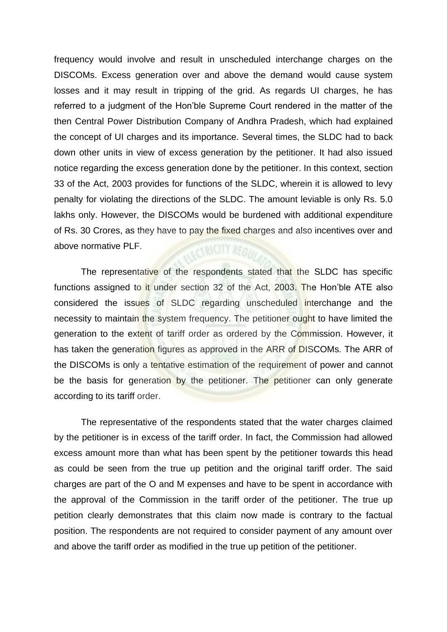frequency would involve and result in unscheduled interchange charges on the DISCOMs. Excess generation over and above the demand would cause system losses and it may result in tripping of the grid. As regards UI charges, he has referred to a judgment of the Hon'ble Supreme Court rendered in the matter of the then Central Power Distribution Company of Andhra Pradesh, which had explained the concept of UI charges and its importance. Several times, the SLDC had to back down other units in view of excess generation by the petitioner. It had also issued notice regarding the excess generation done by the petitioner. In this context, section 33 of the Act, 2003 provides for functions of the SLDC, wherein it is allowed to levy penalty for violating the directions of the SLDC. The amount leviable is only Rs. 5.0 lakhs only. However, the DISCOMs would be burdened with additional expenditure of Rs. 30 Crores, as they have to pay the fixed charges and also incentives over and above normative PLF.

The representative of the respondents stated that the SLDC has specific functions assigned to it under section 32 of the Act, 2003. The Hon'ble ATE also considered the issues of SLDC regarding unscheduled interchange and the necessity to maintain the system frequency. The petitioner ought to have limited the generation to the extent of tariff order as ordered by the Commission. However, it has taken the generation figures as approved in the ARR of DISCOMs. The ARR of the DISCOMs is only a tentative estimation of the requirement of power and cannot be the basis for generation by the petitioner. The petitioner can only generate according to its tariff order.

The representative of the respondents stated that the water charges claimed by the petitioner is in excess of the tariff order. In fact, the Commission had allowed excess amount more than what has been spent by the petitioner towards this head as could be seen from the true up petition and the original tariff order. The said charges are part of the O and M expenses and have to be spent in accordance with the approval of the Commission in the tariff order of the petitioner. The true up petition clearly demonstrates that this claim now made is contrary to the factual position. The respondents are not required to consider payment of any amount over and above the tariff order as modified in the true up petition of the petitioner.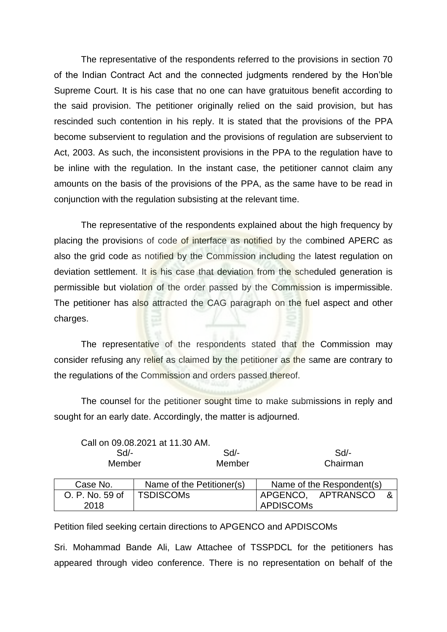The representative of the respondents referred to the provisions in section 70 of the Indian Contract Act and the connected judgments rendered by the Hon'ble Supreme Court. It is his case that no one can have gratuitous benefit according to the said provision. The petitioner originally relied on the said provision, but has rescinded such contention in his reply. It is stated that the provisions of the PPA become subservient to regulation and the provisions of regulation are subservient to Act, 2003. As such, the inconsistent provisions in the PPA to the regulation have to be inline with the regulation. In the instant case, the petitioner cannot claim any amounts on the basis of the provisions of the PPA, as the same have to be read in conjunction with the regulation subsisting at the relevant time.

The representative of the respondents explained about the high frequency by placing the provisions of code of interface as notified by the combined APERC as also the grid code as notified by the Commission including the latest regulation on deviation settlement. It is his case that deviation from the scheduled generation is permissible but violation of the order passed by the Commission is impermissible. The petitioner has also attracted the CAG paragraph on the fuel aspect and other charges.

The representative of the respondents stated that the Commission may consider refusing any relief as claimed by the petitioner as the same are contrary to the regulations of the Commission and orders passed thereof.

The counsel for the petitioner sought time to make submissions in reply and sought for an early date. Accordingly, the matter is adjourned.

|        |                 | Call on 09.08.2021 at 11.30 AM. |        |                  |                           |     |
|--------|-----------------|---------------------------------|--------|------------------|---------------------------|-----|
| $Sd$ - |                 |                                 | $Sd$ - | Sd               |                           |     |
|        | Member          |                                 | Member |                  | Chairman                  |     |
|        |                 |                                 |        |                  |                           |     |
|        | Case No.        | Name of the Petitioner(s)       |        |                  | Name of the Respondent(s) |     |
|        | O. P. No. 59 of | <b>TSDISCOMS</b>                |        |                  | APGENCO, APTRANSCO        | - & |
|        | 2018            |                                 |        | <b>APDISCOMs</b> |                           |     |

Petition filed seeking certain directions to APGENCO and APDISCOMs

Sri. Mohammad Bande Ali, Law Attachee of TSSPDCL for the petitioners has appeared through video conference. There is no representation on behalf of the